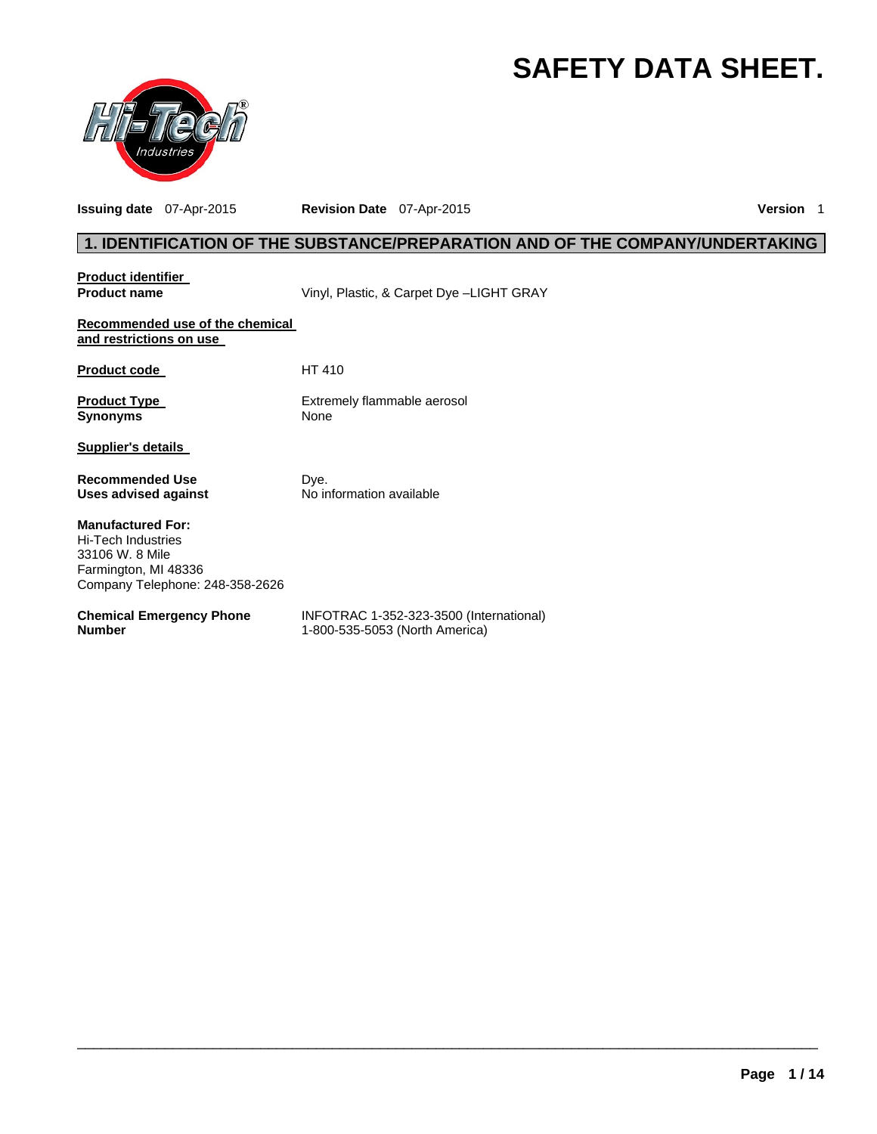# **SAFETY DATA SHEET.**



**Issuing date** 07-Apr-2015 **Revision Date** 07-Apr-2015 **Version** 1

## **1. IDENTIFICATION OF THE SUBSTANCE/PREPARATION AND OF THE COMPANY/UNDERTAKING**

| <b>Product identifier</b>                                                                                                           |                                                                           |
|-------------------------------------------------------------------------------------------------------------------------------------|---------------------------------------------------------------------------|
| <b>Product name</b>                                                                                                                 | Vinyl, Plastic, & Carpet Dye -LIGHT GRAY                                  |
| Recommended use of the chemical<br>and restrictions on use                                                                          |                                                                           |
| <b>Product code</b>                                                                                                                 | HT 410                                                                    |
| <b>Product Type</b><br><b>Synonyms</b>                                                                                              | Extremely flammable aerosol<br>None                                       |
| <b>Supplier's details</b>                                                                                                           |                                                                           |
| <b>Recommended Use</b><br>Uses advised against                                                                                      | Dye.<br>No information available                                          |
| <b>Manufactured For:</b><br><b>Hi-Tech Industries</b><br>33106 W. 8 Mile<br>Farmington, MI 48336<br>Company Telephone: 248-358-2626 |                                                                           |
| <b>Chemical Emergency Phone</b><br><b>Number</b>                                                                                    | INFOTRAC 1-352-323-3500 (International)<br>1-800-535-5053 (North America) |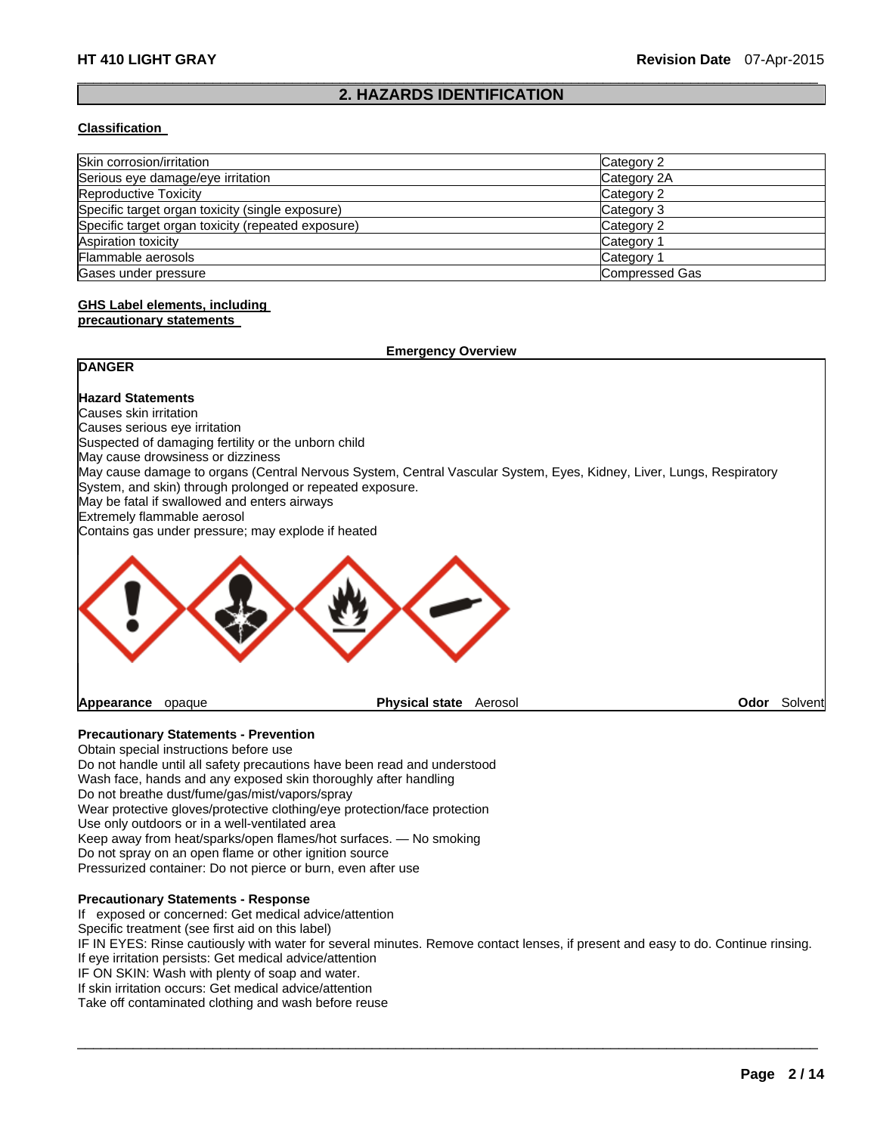## $\Box$ **2. HAZARDS IDENTIFICATION**

## **Classification**

| Skin corrosion/irritation                          | Category 2     |
|----------------------------------------------------|----------------|
| Serious eye damage/eye irritation                  | Category 2A    |
| <b>Reproductive Toxicity</b>                       | Category 2     |
| Specific target organ toxicity (single exposure)   | Category 3     |
| Specific target organ toxicity (repeated exposure) | Category 2     |
| Aspiration toxicity                                | Category 1     |
| Flammable aerosols                                 | Category 1     |
| Gases under pressure                               | Compressed Gas |

#### **GHS Label elements, including precautionary statements**

## **Emergency Overview**

## **DANGER**

## **Hazard Statements**

Causes skin irritation Causes serious eye irritation Suspected of damaging fertility or the unborn child May cause drowsiness or dizziness May cause damage to organs (Central Nervous System, Central Vascular System, Eyes, Kidney, Liver, Lungs, Respiratory System, and skin) through prolonged or repeated exposure. May be fatal if swallowed and enters airways Extremely flammable aerosol Contains gas under pressure; may explode if heated



**Appearance** opaque **Physical state** Aerosol **Odor** Solvent

## **Precautionary Statements - Prevention**

Obtain special instructions before use Do not handle until all safety precautions have been read and understood Wash face, hands and any exposed skin thoroughly after handling Do not breathe dust/fume/gas/mist/vapors/spray Wear protective gloves/protective clothing/eye protection/face protection Use only outdoors or in a well-ventilated area Keep away from heat/sparks/open flames/hot surfaces. — No smoking Do not spray on an open flame or other ignition source Pressurized container: Do not pierce or burn, even after use

#### **Precautionary Statements - Response**

If exposed or concerned: Get medical advice/attention

Specific treatment (see first aid on this label)

IF IN EYES: Rinse cautiously with water for several minutes. Remove contact lenses, if present and easy to do. Continue rinsing. If eye irritation persists: Get medical advice/attention

 $\Box$ 

IF ON SKIN: Wash with plenty of soap and water.

If skin irritation occurs: Get medical advice/attention

Take off contaminated clothing and wash before reuse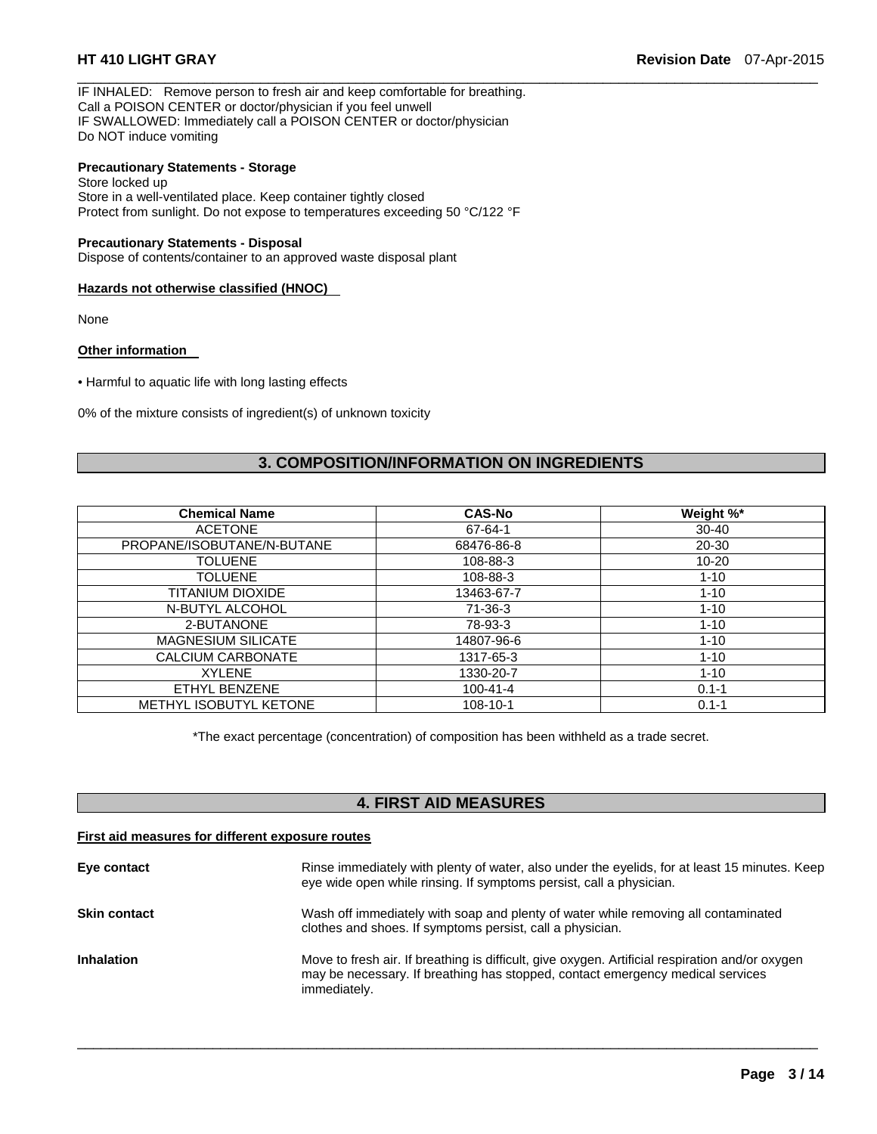IF INHALED: Remove person to fresh air and keep comfortable for breathing. Call a POISON CENTER or doctor/physician if you feel unwell IF SWALLOWED: Immediately call a POISON CENTER or doctor/physician Do NOT induce vomiting

## **Precautionary Statements - Storage**

Store locked up Store in a well-ventilated place. Keep container tightly closed Protect from sunlight. Do not expose to temperatures exceeding 50 °C/122 °F

#### **Precautionary Statements - Disposal**

Dispose of contents/container to an approved waste disposal plant

## **Hazards not otherwise classified (HNOC)**

None

## **Other information**

• Harmful to aquatic life with long lasting effects

0% of the mixture consists of ingredient(s) of unknown toxicity

## **3. COMPOSITION/INFORMATION ON INGREDIENTS**

 $\Box$ 

| <b>CAS-No</b>  | Weight %* |
|----------------|-----------|
| 67-64-1        | $30 - 40$ |
| 68476-86-8     | $20 - 30$ |
| 108-88-3       | $10 - 20$ |
| 108-88-3       | $1 - 10$  |
| 13463-67-7     | $1 - 10$  |
| $71-36-3$      | $1 - 10$  |
| 78-93-3        | $1 - 10$  |
| 14807-96-6     | $1 - 10$  |
| 1317-65-3      | $1 - 10$  |
| 1330-20-7      | $1 - 10$  |
| $100 - 41 - 4$ | $0.1 - 1$ |
| 108-10-1       | $0.1 - 1$ |
|                |           |

\*The exact percentage (concentration) of composition has been withheld as a trade secret.

## **4. FIRST AID MEASURES**

### **First aid measures for different exposure routes**

| Eye contact         | Rinse immediately with plenty of water, also under the eyelids, for at least 15 minutes. Keep<br>eye wide open while rinsing. If symptoms persist, call a physician.                              |
|---------------------|---------------------------------------------------------------------------------------------------------------------------------------------------------------------------------------------------|
| <b>Skin contact</b> | Wash off immediately with soap and plenty of water while removing all contaminated<br>clothes and shoes. If symptoms persist, call a physician.                                                   |
| <b>Inhalation</b>   | Move to fresh air. If breathing is difficult, give oxygen. Artificial respiration and/or oxygen<br>may be necessary. If breathing has stopped, contact emergency medical services<br>immediately. |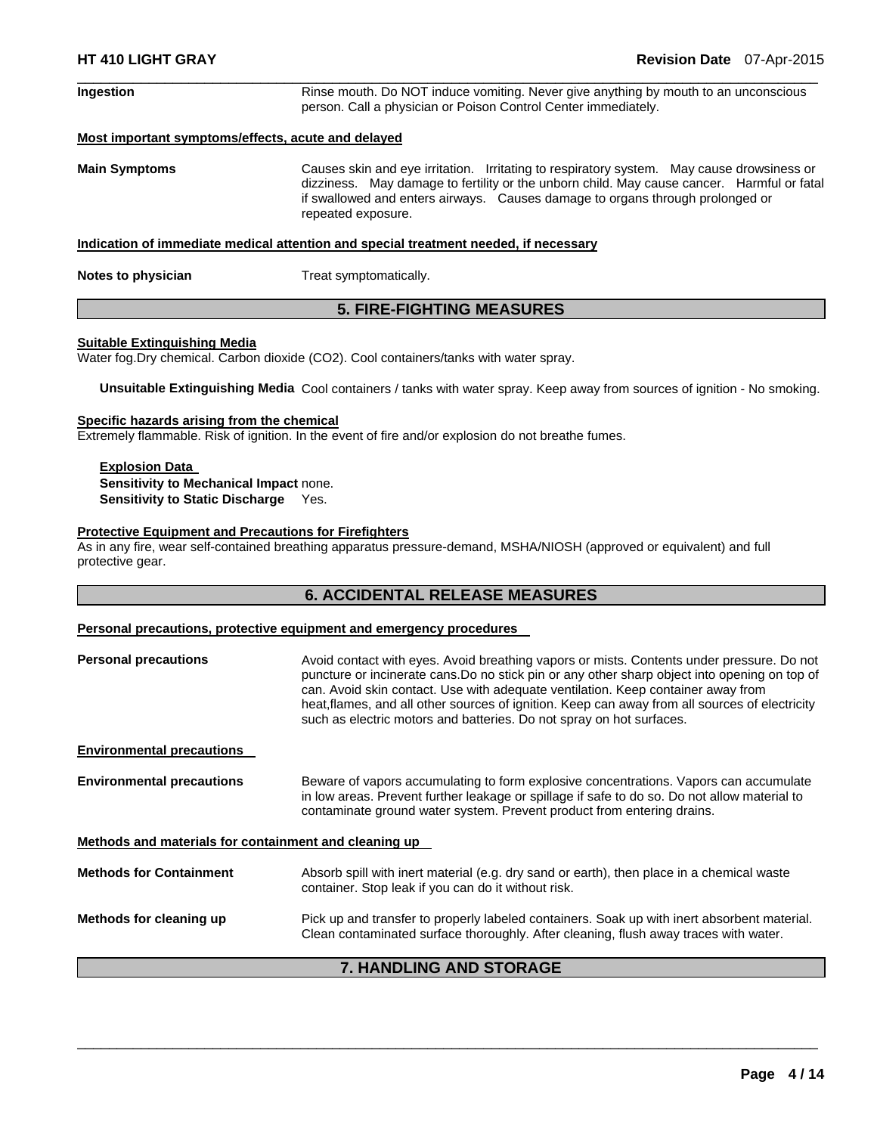| <b>Ingestion</b>                                   | Rinse mouth. Do NOT induce vomiting. Never give anything by mouth to an unconscious<br>person. Call a physician or Poison Control Center immediately.                                                                                                                                          |  |  |
|----------------------------------------------------|------------------------------------------------------------------------------------------------------------------------------------------------------------------------------------------------------------------------------------------------------------------------------------------------|--|--|
| Most important symptoms/effects, acute and delayed |                                                                                                                                                                                                                                                                                                |  |  |
| <b>Main Symptoms</b>                               | Causes skin and eye irritation. Irritating to respiratory system. May cause drowsiness or<br>dizziness. May damage to fertility or the unborn child. May cause cancer. Harmful or fatal<br>if swallowed and enters airways. Causes damage to organs through prolonged or<br>repeated exposure. |  |  |
|                                                    | Indication of immediate medical attention and special treatment needed, if necessary                                                                                                                                                                                                           |  |  |

 $\Box$ 

**Notes to physician Treat symptomatically.** 

## **5. FIRE-FIGHTING MEASURES**

#### **Suitable Extinguishing Media**

Water fog.Dry chemical. Carbon dioxide (CO2). Cool containers/tanks with water spray.

**Unsuitable Extinguishing Media** Cool containers / tanks with water spray. Keep away from sources of ignition - No smoking.

## **Specific hazards arising from the chemical**

Extremely flammable. Risk of ignition. In the event of fire and/or explosion do not breathe fumes.

## **Explosion Data Sensitivity to Mechanical Impact** none. **Sensitivity to Static Discharge** Yes.

## **Protective Equipment and Precautions for Firefighters**

As in any fire, wear self-contained breathing apparatus pressure-demand, MSHA/NIOSH (approved or equivalent) and full protective gear.

## **6. ACCIDENTAL RELEASE MEASURES**

## **Personal precautions, protective equipment and emergency procedures**

| <b>Personal precautions</b>                           | Avoid contact with eyes. Avoid breathing vapors or mists. Contents under pressure. Do not<br>puncture or incinerate cans. Do no stick pin or any other sharp object into opening on top of<br>can. Avoid skin contact. Use with adequate ventilation. Keep container away from<br>heat, flames, and all other sources of ignition. Keep can away from all sources of electricity<br>such as electric motors and batteries. Do not spray on hot surfaces. |  |
|-------------------------------------------------------|----------------------------------------------------------------------------------------------------------------------------------------------------------------------------------------------------------------------------------------------------------------------------------------------------------------------------------------------------------------------------------------------------------------------------------------------------------|--|
|                                                       |                                                                                                                                                                                                                                                                                                                                                                                                                                                          |  |
| <b>Environmental precautions</b>                      |                                                                                                                                                                                                                                                                                                                                                                                                                                                          |  |
| <b>Environmental precautions</b>                      | Beware of vapors accumulating to form explosive concentrations. Vapors can accumulate<br>in low areas. Prevent further leakage or spillage if safe to do so. Do not allow material to<br>contaminate ground water system. Prevent product from entering drains.                                                                                                                                                                                          |  |
| Methods and materials for containment and cleaning up |                                                                                                                                                                                                                                                                                                                                                                                                                                                          |  |
| <b>Methods for Containment</b>                        | Absorb spill with inert material (e.g. dry sand or earth), then place in a chemical waste<br>container. Stop leak if you can do it without risk.                                                                                                                                                                                                                                                                                                         |  |
| Methods for cleaning up                               | Pick up and transfer to properly labeled containers. Soak up with inert absorbent material.<br>Clean contaminated surface thoroughly. After cleaning, flush away traces with water.                                                                                                                                                                                                                                                                      |  |
| 7. HANDLING AND STORAGE                               |                                                                                                                                                                                                                                                                                                                                                                                                                                                          |  |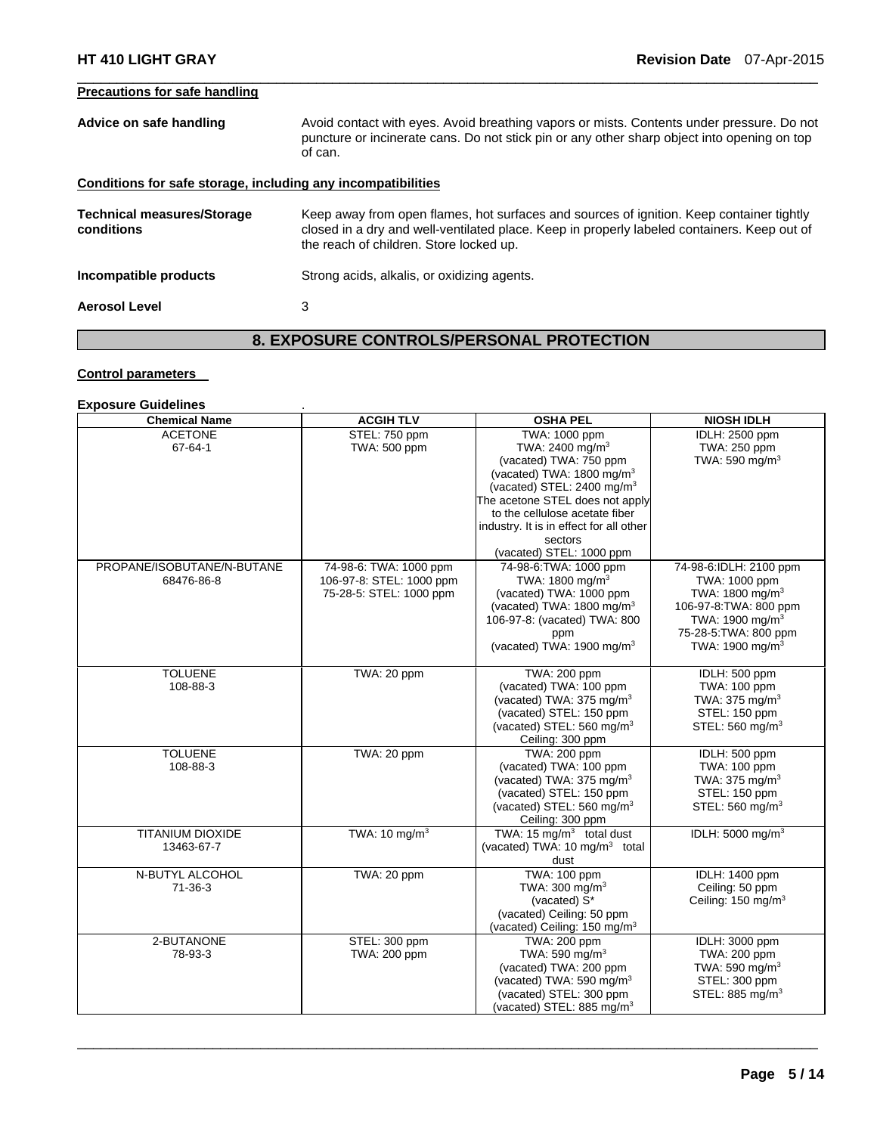## **Precautions for safe handling**

| Advice on safe handling                                      | Avoid contact with eyes. Avoid breathing vapors or mists. Contents under pressure. Do not<br>puncture or incinerate cans. Do not stick pin or any other sharp object into opening on top<br>of can.                                |
|--------------------------------------------------------------|------------------------------------------------------------------------------------------------------------------------------------------------------------------------------------------------------------------------------------|
| Conditions for safe storage, including any incompatibilities |                                                                                                                                                                                                                                    |
| <b>Technical measures/Storage</b><br>conditions              | Keep away from open flames, hot surfaces and sources of ignition. Keep container tightly<br>closed in a dry and well-ventilated place. Keep in properly labeled containers. Keep out of<br>the reach of children. Store locked up. |
| Incompatible products                                        | Strong acids, alkalis, or oxidizing agents.                                                                                                                                                                                        |
| <b>Aerosol Level</b>                                         | 3                                                                                                                                                                                                                                  |

 $\Box$ 

## **8. EXPOSURE CONTROLS/PERSONAL PROTECTION**

## **Control parameters**

## **Exposure Guidelines** .

| <b>Chemical Name</b>       | <b>ACGIH TLV</b>         | <b>OSHA PEL</b>                                                | <b>NIOSH IDLH</b>                           |
|----------------------------|--------------------------|----------------------------------------------------------------|---------------------------------------------|
| <b>ACETONE</b>             | STEL: 750 ppm            | TWA: 1000 ppm                                                  | IDLH: 2500 ppm                              |
| 67-64-1                    | TWA: 500 ppm             | TWA: 2400 mg/m <sup>3</sup>                                    | TWA: 250 ppm                                |
|                            |                          | (vacated) TWA: 750 ppm                                         | TWA: 590 mg/m <sup>3</sup>                  |
|                            |                          | (vacated) TWA: 1800 mg/m <sup>3</sup>                          |                                             |
|                            |                          | (vacated) STEL: 2400 mg/m <sup>3</sup>                         |                                             |
|                            |                          | The acetone STEL does not apply                                |                                             |
|                            |                          | to the cellulose acetate fiber                                 |                                             |
|                            |                          | industry. It is in effect for all other                        |                                             |
|                            |                          | sectors                                                        |                                             |
|                            |                          | (vacated) STEL: 1000 ppm                                       |                                             |
| PROPANE/ISOBUTANE/N-BUTANE | 74-98-6: TWA: 1000 ppm   | 74-98-6: TWA: 1000 ppm                                         | 74-98-6:IDLH: 2100 ppm                      |
| 68476-86-8                 | 106-97-8: STEL: 1000 ppm | TWA: 1800 mg/m <sup>3</sup>                                    | TWA: 1000 ppm                               |
|                            | 75-28-5: STEL: 1000 ppm  | (vacated) TWA: 1000 ppm                                        | TWA: 1800 mg/m <sup>3</sup>                 |
|                            |                          | (vacated) TWA: 1800 mg/m <sup>3</sup>                          | 106-97-8: TWA: 800 ppm                      |
|                            |                          | 106-97-8: (vacated) TWA: 800                                   | TWA: 1900 mg/m <sup>3</sup>                 |
|                            |                          | ppm                                                            | 75-28-5: TWA: 800 ppm                       |
|                            |                          | (vacated) TWA: 1900 mg/m <sup>3</sup>                          | TWA: 1900 mg/m <sup>3</sup>                 |
|                            |                          |                                                                |                                             |
| <b>TOLUENE</b>             | TWA: 20 ppm              | <b>TWA: 200 ppm</b>                                            | IDLH: 500 ppm                               |
| 108-88-3                   |                          | (vacated) TWA: 100 ppm                                         | TWA: 100 ppm                                |
|                            |                          | (vacated) TWA: 375 mg/m <sup>3</sup>                           | TWA: 375 mg/m <sup>3</sup>                  |
|                            |                          | (vacated) STEL: 150 ppm                                        | STEL: 150 ppm                               |
|                            |                          | (vacated) STEL: 560 mg/m <sup>3</sup>                          | STEL: 560 mg/m <sup>3</sup>                 |
|                            |                          | Ceiling: 300 ppm                                               |                                             |
| <b>TOLUENE</b>             | TWA: 20 ppm              | <b>TWA: 200 ppm</b>                                            | IDLH: 500 ppm                               |
| 108-88-3                   |                          | (vacated) TWA: 100 ppm                                         | TWA: 100 ppm                                |
|                            |                          | (vacated) TWA: 375 mg/m <sup>3</sup>                           | TWA: 375 mg/m <sup>3</sup>                  |
|                            |                          | (vacated) STEL: 150 ppm                                        | STEL: 150 ppm                               |
|                            |                          | (vacated) STEL: 560 mg/m <sup>3</sup>                          | STEL: 560 mg/m <sup>3</sup>                 |
|                            |                          | Ceiling: 300 ppm                                               |                                             |
| <b>TITANIUM DIOXIDE</b>    | TWA: $10 \text{ mg/m}^3$ | TWA: 15 mg/m <sup>3</sup> total dust                           | IDLH: 5000 mg/m <sup>3</sup>                |
| 13463-67-7                 |                          | (vacated) TWA: 10 mg/m <sup>3</sup> total                      |                                             |
|                            |                          | dust                                                           |                                             |
| N-BUTYL ALCOHOL            | TWA: 20 ppm              | <b>TWA: 100 ppm</b>                                            | <b>IDLH: 1400 ppm</b>                       |
| $71 - 36 - 3$              |                          | TWA: 300 mg/m <sup>3</sup>                                     | Ceiling: 50 ppm                             |
|                            |                          | (vacated) S*                                                   | Ceiling: 150 mg/m <sup>3</sup>              |
|                            |                          | (vacated) Ceiling: 50 ppm                                      |                                             |
|                            |                          | (vacated) Ceiling: 150 mg/m <sup>3</sup>                       |                                             |
| 2-BUTANONE                 | STEL: 300 ppm            | TWA: 200 ppm<br>TWA: 590 mg/m <sup>3</sup>                     | IDLH: 3000 ppm                              |
| 78-93-3                    | TWA: 200 ppm             |                                                                | TWA: 200 ppm                                |
|                            |                          | (vacated) TWA: 200 ppm<br>(vacated) TWA: 590 mg/m <sup>3</sup> | TWA: 590 mg/m <sup>3</sup><br>STEL: 300 ppm |
|                            |                          |                                                                |                                             |
|                            |                          | (vacated) STEL: 300 ppm                                        | STEL: 885 mg/m <sup>3</sup>                 |
|                            |                          | (vacated) STEL: 885 mg/m <sup>3</sup>                          |                                             |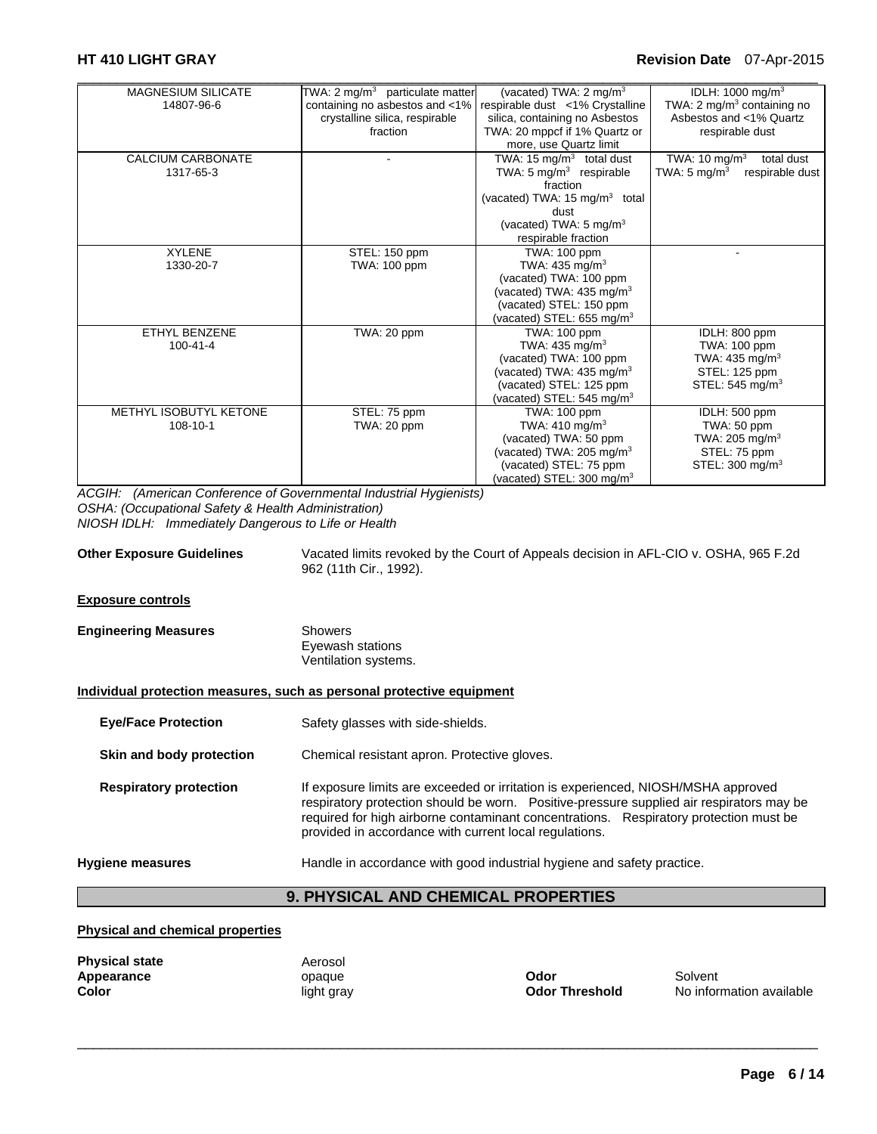## **HT 410 LIGHT GRAY Revision Date** 07-Apr-2015

| <b>MAGNESIUM SILICATE</b> | TWA: 2 mg/m <sup>3</sup> particulate matter | (vacated) TWA: 2 mg/m <sup>3</sup>        | IDLH: 1000 mg/m <sup>3</sup>                |
|---------------------------|---------------------------------------------|-------------------------------------------|---------------------------------------------|
| 14807-96-6                | containing no asbestos and <1%              | respirable dust <1% Crystalline           | TWA: 2 mg/m <sup>3</sup> containing no      |
|                           | crystalline silica, respirable              | silica, containing no Asbestos            | Asbestos and <1% Quartz                     |
|                           | fraction                                    | TWA: 20 mppcf if 1% Quartz or             | respirable dust                             |
|                           |                                             | more, use Quartz limit                    |                                             |
| <b>CALCIUM CARBONATE</b>  |                                             | TWA: 15 $mg/m3$ total dust                | TWA: 10 mg/m <sup>3</sup><br>total dust     |
| 1317-65-3                 |                                             | TWA: $5 \text{ mg/m}^3$ respirable        | TWA: 5 mg/m <sup>3</sup><br>respirable dust |
|                           |                                             | fraction                                  |                                             |
|                           |                                             | (vacated) TWA: 15 mg/m <sup>3</sup> total |                                             |
|                           |                                             | dust                                      |                                             |
|                           |                                             | (vacated) TWA: 5 mg/m <sup>3</sup>        |                                             |
|                           |                                             | respirable fraction                       |                                             |
| <b>XYLENE</b>             | STEL: 150 ppm                               | TWA: 100 ppm                              |                                             |
| 1330-20-7                 | TWA: 100 ppm                                | TWA: $435 \text{ mg/m}^3$                 |                                             |
|                           |                                             | (vacated) TWA: 100 ppm                    |                                             |
|                           |                                             | (vacated) TWA: $435 \text{ mg/m}^3$       |                                             |
|                           |                                             | (vacated) STEL: 150 ppm                   |                                             |
|                           |                                             | (vacated) STEL: 655 mg/m <sup>3</sup>     |                                             |
| <b>ETHYL BENZENE</b>      | TWA: 20 ppm                                 | TWA: 100 ppm                              | IDLH: 800 ppm                               |
| $100 - 41 - 4$            |                                             | TWA: 435 mg/m <sup>3</sup>                | TWA: 100 ppm                                |
|                           |                                             | (vacated) TWA: 100 ppm                    | TWA: 435 mg/m <sup>3</sup>                  |
|                           |                                             | (vacated) TWA: 435 mg/m <sup>3</sup>      | STEL: 125 ppm                               |
|                           |                                             | (vacated) STEL: 125 ppm                   | STEL: 545 mg/m <sup>3</sup>                 |
|                           |                                             | (vacated) STEL: 545 mg/m <sup>3</sup>     |                                             |
| METHYL ISOBUTYL KETONE    | STEL: 75 ppm                                | TWA: 100 ppm                              | IDLH: 500 ppm                               |
| 108-10-1                  | TWA: 20 ppm                                 | TWA: 410 mg/m <sup>3</sup>                | TWA: 50 ppm                                 |
|                           |                                             | (vacated) TWA: 50 ppm                     | TWA: 205 mg/m <sup>3</sup>                  |
|                           |                                             | (vacated) TWA: 205 mg/m <sup>3</sup>      | STEL: 75 ppm                                |
|                           |                                             | (vacated) STEL: 75 ppm                    | STEL: $300 \text{ mg/m}^3$                  |
|                           |                                             | (vacated) STEL: 300 mg/m <sup>3</sup>     |                                             |

*ACGIH: (American Conference of Governmental Industrial Hygienists) OSHA: (Occupational Safety & Health Administration) NIOSH IDLH: Immediately Dangerous to Life or Health* 

| <b>Other Exposure Guidelines</b> | Vacated limits revoked by the Court of Appeals decision in AFL-CIO v. OSHA, 965 F.2d |
|----------------------------------|--------------------------------------------------------------------------------------|
|                                  | 962 (11th Cir., 1992).                                                               |

#### **Exposure controls**

| <b>Engineering Measures</b> | Showers              |  |
|-----------------------------|----------------------|--|
|                             | Eyewash stations     |  |
|                             | Ventilation systems. |  |

#### **Individual protection measures, such as personal protective equipment**

- **Eye/Face Protection** Safety glasses with side-shields.
- **Skin and body protection Chemical resistant apron. Protective gloves.**

**Respiratory protection** If exposure limits are exceeded or irritation is experienced, NIOSH/MSHA approved respiratory protection should be worn. Positive-pressure supplied air respirators may be required for high airborne contaminant concentrations. Respiratory protection must be provided in accordance with current local regulations.

## **Hygiene measures** Handle in accordance with good industrial hygiene and safety practice.

## **9. PHYSICAL AND CHEMICAL PROPERTIES**

 $\Box$ 

## **Physical and chemical properties**

| <b>Physical state</b> | Aerosol    |                       |          |
|-----------------------|------------|-----------------------|----------|
| Appearance            | opague     | Odor                  | Solvent  |
| Color                 | light gray | <b>Odor Threshold</b> | No infor |

**Color** light gray **Odor Threshold** No information available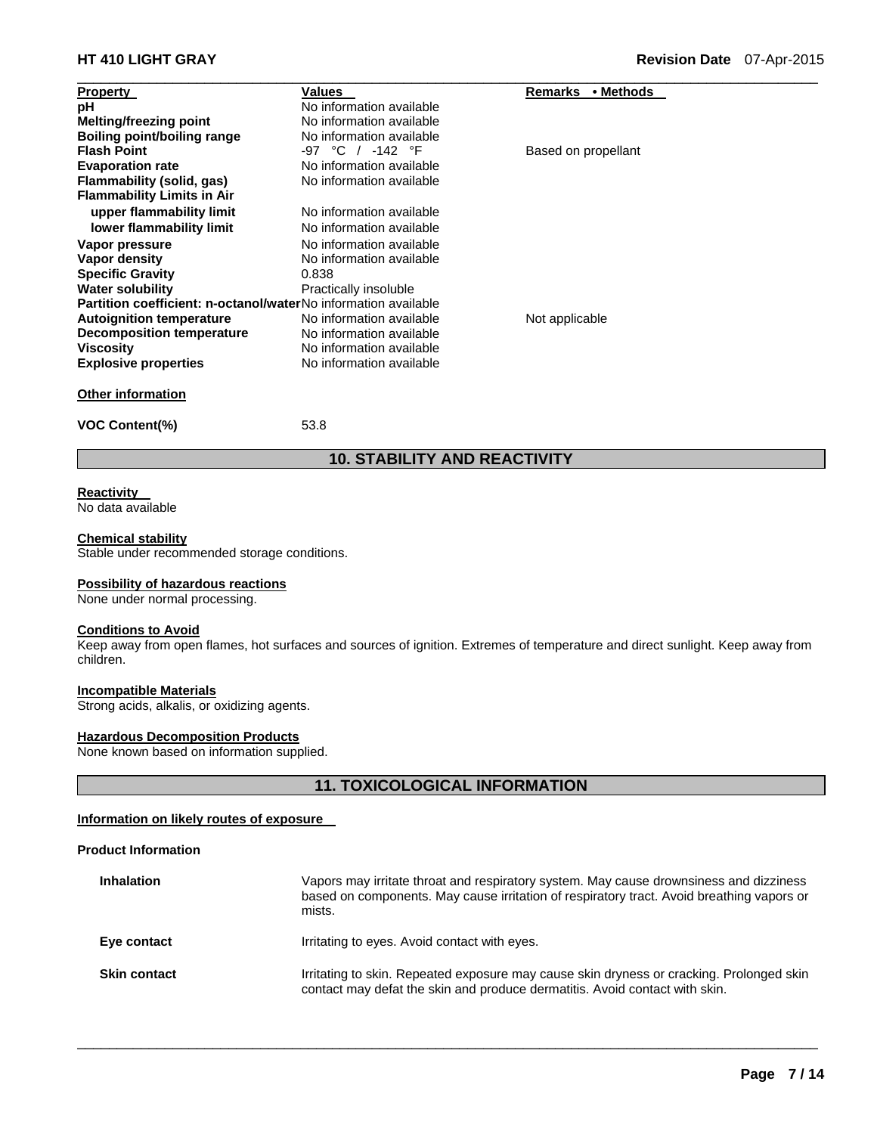| <b>Property</b>                                                       | Values                   | • Methods<br>Remarks |  |
|-----------------------------------------------------------------------|--------------------------|----------------------|--|
| рH                                                                    | No information available |                      |  |
| Melting/freezing point                                                | No information available |                      |  |
| Boiling point/boiling range                                           | No information available |                      |  |
| <b>Flash Point</b>                                                    | -97 °C / -142 °F         | Based on propellant  |  |
| <b>Evaporation rate</b>                                               | No information available |                      |  |
| Flammability (solid, gas)                                             | No information available |                      |  |
| <b>Flammability Limits in Air</b>                                     |                          |                      |  |
| upper flammability limit                                              | No information available |                      |  |
| lower flammability limit                                              | No information available |                      |  |
| Vapor pressure                                                        | No information available |                      |  |
| Vapor density                                                         | No information available |                      |  |
| <b>Specific Gravity</b>                                               | 0.838                    |                      |  |
| <b>Water solubility</b>                                               | Practically insoluble    |                      |  |
| <b>Partition coefficient: n-octanol/waterNo information available</b> |                          |                      |  |
| <b>Autoignition temperature</b>                                       | No information available | Not applicable       |  |
| Decomposition temperature                                             | No information available |                      |  |
| <b>Viscosity</b>                                                      | No information available |                      |  |
| <b>Explosive properties</b>                                           | No information available |                      |  |
| <b>Other information</b>                                              |                          |                      |  |

**VOC Content(%)** 53.8

## **10. STABILITY AND REACTIVITY**

## **Reactivity**

No data available

## **Chemical stability**

Stable under recommended storage conditions.

## **Possibility of hazardous reactions**

None under normal processing.

## **Conditions to Avoid**

Keep away from open flames, hot surfaces and sources of ignition. Extremes of temperature and direct sunlight. Keep away from children.

## **Incompatible Materials**

Strong acids, alkalis, or oxidizing agents.

## **Hazardous Decomposition Products**

None known based on information supplied.

## **11. TOXICOLOGICAL INFORMATION**

## **Information on likely routes of exposure**

## **Product Information**

| <b>Inhalation</b>   | Vapors may irritate throat and respiratory system. May cause drownsiness and dizziness<br>based on components. May cause irritation of respiratory tract. Avoid breathing vapors or<br>mists. |
|---------------------|-----------------------------------------------------------------------------------------------------------------------------------------------------------------------------------------------|
| Eye contact         | Irritating to eyes. Avoid contact with eyes.                                                                                                                                                  |
| <b>Skin contact</b> | Irritating to skin. Repeated exposure may cause skin dryness or cracking. Prolonged skin<br>contact may defat the skin and produce dermatitis. Avoid contact with skin.                       |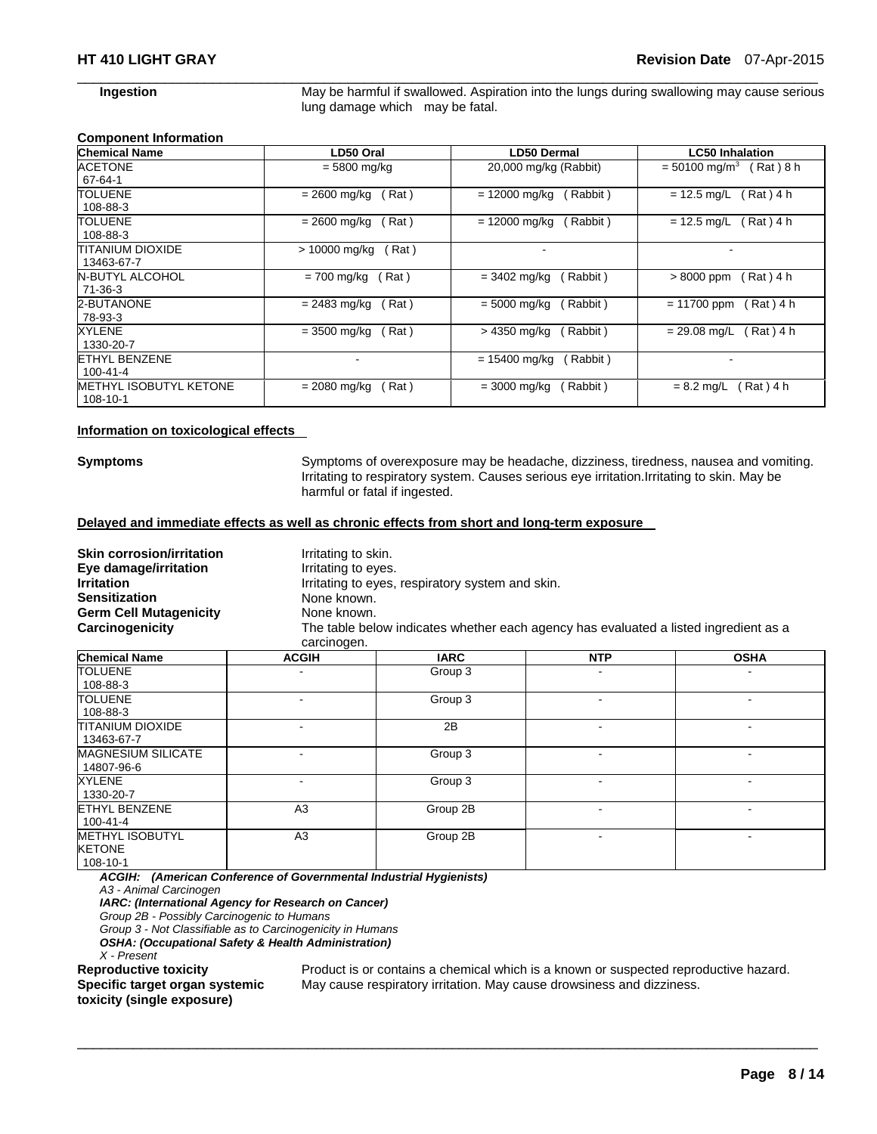**Ingestion May be harmful if swallowed. Aspiration into the lungs during swallowing may cause serious** lung damage which may be fatal.

## **Component Information**

| <b>Chemical Name</b>                   | LD50 Oral             | <b>LD50 Dermal</b>       | <b>LC50 Inhalation</b>                  |
|----------------------------------------|-----------------------|--------------------------|-----------------------------------------|
| <b>ACETONE</b><br>$67 - 64 - 1$        | = 5800 mg/kg          | 20,000 mg/kg (Rabbit)    | $= 50100$ mg/m <sup>3</sup><br>(Rat)8 h |
| <b>TOLUENE</b>                         | Rat)                  | $= 12000$ mg/kg          | (Rat) 4 h                               |
| 108-88-3                               | $= 2600$ mg/kg        | Rabbit)                  | $= 12.5$ mg/L                           |
| TOLUENE                                | (Rat)                 | $= 12000$ mg/kg          | (Rat) 4 h                               |
| 108-88-3                               | $= 2600$ mg/kg        | Rabbit)                  | $= 12.5$ mg/L                           |
| ITITANIUM DIOXIDE<br>13463-67-7        | Rat)<br>> 10000 mg/kg | $\overline{\phantom{a}}$ |                                         |
| N-BUTYL ALCOHOL                        | $= 700$ mg/kg         | (Rabbit)                 | Rat) 4 h                                |
| $71-36-3$                              | Rat)                  | $= 3402 \text{ mg/kg}$   | $>8000$ ppm                             |
| 2-BUTANONE                             | $= 2483$ mg/kg        | $= 5000 \text{ mg/kg}$   | $= 11700$ ppm                           |
| 78-93-3                                | (Rat)                 | (Rabbit)                 | (Rat)4 h                                |
| XYLENE                                 | (Rat)                 | (Rabbit)                 | ( Rat ) 4 h                             |
| 1330-20-7                              | = 3500 mg/kg          | > 4350 mg/kg             | $= 29.08$ mg/L                          |
| <b>ETHYL BENZENE</b><br>$100 - 41 - 4$ |                       | = 15400 mg/kg<br>Rabbit) |                                         |
| <b>METHYL ISOBUTYL KETONE</b>          | $= 2080$ mg/kg        | (Rabbit)                 | Rat ) 4 h                               |
| 108-10-1                               | Rat)                  | $= 3000$ mg/kg           | $= 8.2$ mg/L                            |

 $\Box$ 

#### **Information on toxicological effects**

**Symptoms** Symptoms of overexposure may be headache, dizziness, tiredness, nausea and vomiting. Irritating to respiratory system. Causes serious eye irritation.Irritating to skin. May be harmful or fatal if ingested.

## **Delayed and immediate effects as well as chronic effects from short and long-term exposure**

| <b>Skin corrosion/irritation</b><br>Eye damage/irritation | Irritating to skin.<br>Irritating to eyes. |                                                  |                                                                                      |             |
|-----------------------------------------------------------|--------------------------------------------|--------------------------------------------------|--------------------------------------------------------------------------------------|-------------|
| <b>Irritation</b>                                         |                                            | Irritating to eyes, respiratory system and skin. |                                                                                      |             |
| <b>Sensitization</b>                                      | None known.                                |                                                  |                                                                                      |             |
| <b>Germ Cell Mutagenicity</b>                             | None known.                                |                                                  |                                                                                      |             |
| Carcinogenicity                                           | carcinogen.                                |                                                  | The table below indicates whether each agency has evaluated a listed ingredient as a |             |
| Chamical Nama                                             | <b>ACGIH</b>                               | <b>IARC</b>                                      | <b>NTP</b>                                                                           | <b>OSHA</b> |

| <b>Chemical Name</b>                                | <b>ACGIH</b>             | <b>IARC</b> | <b>NTP</b> | <b>OSHA</b> |
|-----------------------------------------------------|--------------------------|-------------|------------|-------------|
| <b>TOLUENE</b>                                      | ٠                        | Group 3     | ۰          |             |
| 108-88-3                                            |                          |             |            |             |
| <b>TOLUENE</b>                                      | ۰                        | Group 3     |            |             |
| 108-88-3                                            |                          |             |            |             |
| <b>TITANIUM DIOXIDE</b><br>13463-67-7               | $\overline{\phantom{a}}$ | 2B          |            |             |
| <b>MAGNESIUM SILICATE</b><br>14807-96-6             | ۰                        | Group 3     |            |             |
| <b>XYLENE</b><br>1330-20-7                          | ٠                        | Group 3     | ۰          | ٠           |
| <b>ETHYL BENZENE</b><br>100-41-4                    | A <sub>3</sub>           | Group 2B    | -          |             |
| <b>METHYL ISOBUTYL</b><br><b>KETONE</b><br>108-10-1 | A <sub>3</sub>           | Group 2B    |            |             |

 $\Box$ 

*ACGIH: (American Conference of Governmental Industrial Hygienists)* 

*A3 - Animal Carcinogen* 

*IARC: (International Agency for Research on Cancer)* 

*Group 2B - Possibly Carcinogenic to Humans* 

*Group 3 - Not Classifiable as to Carcinogenicity in Humans* 

*OSHA: (Occupational Safety & Health Administration)* 

*X - Present*  **Specific target organ systemic** 

Product is or contains a chemical which is a known or suspected reproductive hazard. May cause respiratory irritation. May cause drowsiness and dizziness.

**toxicity (single exposure)**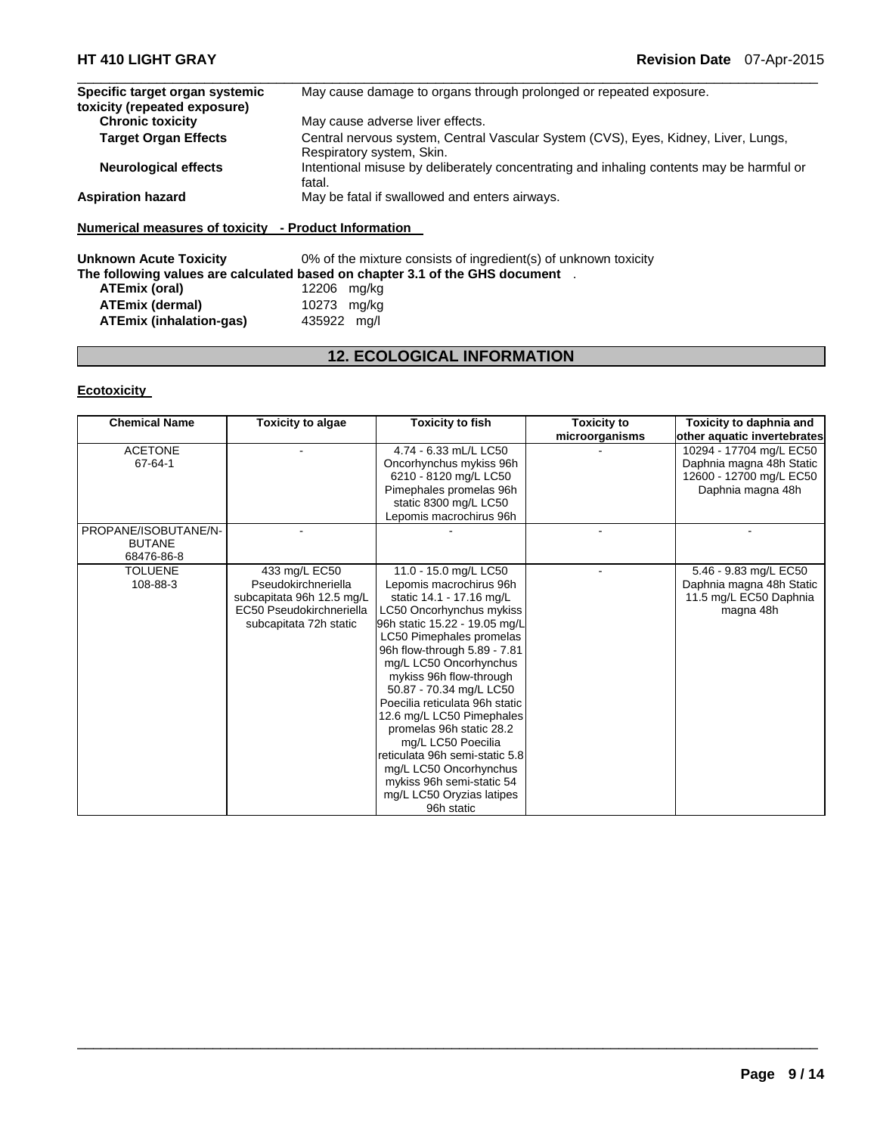| Specific target organ systemic | May cause damage to organs through prolonged or repeated exposure.                                              |
|--------------------------------|-----------------------------------------------------------------------------------------------------------------|
| toxicity (repeated exposure)   |                                                                                                                 |
| <b>Chronic toxicity</b>        | May cause adverse liver effects.                                                                                |
| <b>Target Organ Effects</b>    | Central nervous system, Central Vascular System (CVS), Eyes, Kidney, Liver, Lungs,<br>Respiratory system, Skin. |
| <b>Neurological effects</b>    | Intentional misuse by deliberately concentrating and inhaling contents may be harmful or<br>fatal.              |
| <b>Aspiration hazard</b>       | May be fatal if swallowed and enters airways.                                                                   |
|                                |                                                                                                                 |

 $\Box$ 

## **Numerical measures of toxicity - Product Information**

**Unknown Acute Toxicity** 0% of the mixture consists of ingredient(s) of unknown toxicity **The following values are calculated based on chapter 3.1 of the GHS document** . **ATEmix (oral)** 12206 mg/kg

| ATEmix (dermal)         | 10273 mg/kg |  |
|-------------------------|-------------|--|
| ATEmix (inhalation-gas) | 435922 mg/l |  |

## **12. ECOLOGICAL INFORMATION**

## **Ecotoxicity**

| <b>Chemical Name</b> | <b>Toxicity to algae</b>  | <b>Toxicity to fish</b>        | <b>Toxicity to</b> | Toxicity to daphnia and     |
|----------------------|---------------------------|--------------------------------|--------------------|-----------------------------|
|                      |                           |                                | microorganisms     | other aquatic invertebrates |
| <b>ACETONE</b>       |                           | 4.74 - 6.33 mL/L LC50          |                    | 10294 - 17704 mg/L EC50     |
| 67-64-1              |                           | Oncorhynchus mykiss 96h        |                    | Daphnia magna 48h Static    |
|                      |                           | 6210 - 8120 mg/L LC50          |                    | 12600 - 12700 mg/L EC50     |
|                      |                           | Pimephales promelas 96h        |                    | Daphnia magna 48h           |
|                      |                           | static 8300 mg/L LC50          |                    |                             |
|                      |                           | Lepomis macrochirus 96h        |                    |                             |
| PROPANE/ISOBUTANE/N- |                           |                                |                    |                             |
| <b>BUTANE</b>        |                           |                                |                    |                             |
| 68476-86-8           |                           |                                |                    |                             |
| <b>TOLUENE</b>       | 433 mg/L EC50             | 11.0 - 15.0 mg/L LC50          |                    | 5.46 - 9.83 mg/L EC50       |
| 108-88-3             | Pseudokirchneriella       | Lepomis macrochirus 96h        |                    | Daphnia magna 48h Static    |
|                      | subcapitata 96h 12.5 mg/L | static 14.1 - 17.16 mg/L       |                    | 11.5 mg/L EC50 Daphnia      |
|                      | EC50 Pseudokirchneriella  | LC50 Oncorhynchus mykiss       |                    | magna 48h                   |
|                      | subcapitata 72h static    | 96h static 15.22 - 19.05 mg/L  |                    |                             |
|                      |                           | LC50 Pimephales promelas       |                    |                             |
|                      |                           | 96h flow-through 5.89 - 7.81   |                    |                             |
|                      |                           | mg/L LC50 Oncorhynchus         |                    |                             |
|                      |                           | mykiss 96h flow-through        |                    |                             |
|                      |                           | 50.87 - 70.34 mg/L LC50        |                    |                             |
|                      |                           | Poecilia reticulata 96h static |                    |                             |
|                      |                           | 12.6 mg/L LC50 Pimephales      |                    |                             |
|                      |                           | promelas 96h static 28.2       |                    |                             |
|                      |                           | mg/L LC50 Poecilia             |                    |                             |
|                      |                           | reticulata 96h semi-static 5.8 |                    |                             |
|                      |                           | mg/L LC50 Oncorhynchus         |                    |                             |
|                      |                           | mykiss 96h semi-static 54      |                    |                             |
|                      |                           | mg/L LC50 Oryzias latipes      |                    |                             |
|                      |                           | 96h static                     |                    |                             |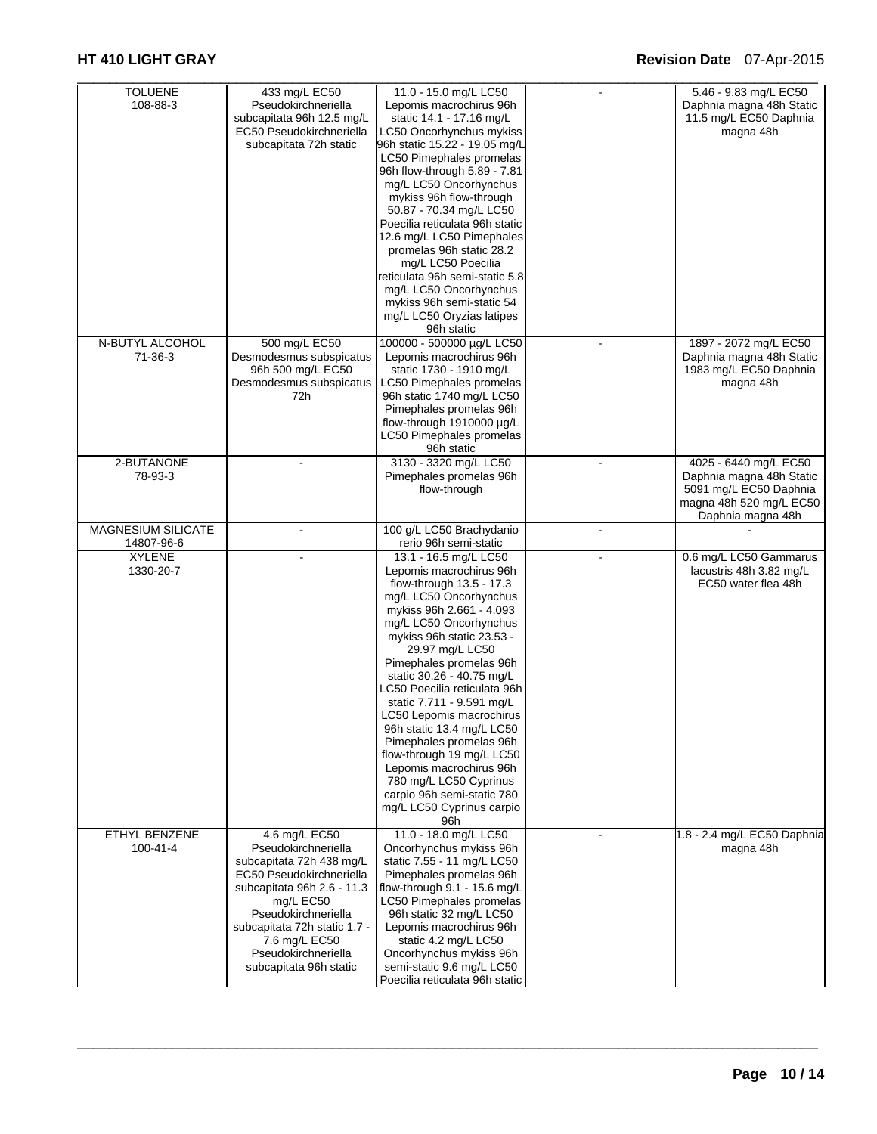| <b>TOLUENE</b>            | 433 mg/L EC50                | 11.0 - 15.0 mg/L LC50                                       |    | 5.46 - 9.83 mg/L EC50       |
|---------------------------|------------------------------|-------------------------------------------------------------|----|-----------------------------|
| 108-88-3                  | Pseudokirchneriella          | Lepomis macrochirus 96h                                     |    | Daphnia magna 48h Static    |
|                           | subcapitata 96h 12.5 mg/L    | static 14.1 - 17.16 mg/L                                    |    | 11.5 mg/L EC50 Daphnia      |
|                           | EC50 Pseudokirchneriella     | LC50 Oncorhynchus mykiss                                    |    | magna 48h                   |
|                           | subcapitata 72h static       | 96h static 15.22 - 19.05 mg/L                               |    |                             |
|                           |                              | LC50 Pimephales promelas                                    |    |                             |
|                           |                              | 96h flow-through 5.89 - 7.81                                |    |                             |
|                           |                              | mg/L LC50 Oncorhynchus                                      |    |                             |
|                           |                              | mykiss 96h flow-through                                     |    |                             |
|                           |                              | 50.87 - 70.34 mg/L LC50                                     |    |                             |
|                           |                              | Poecilia reticulata 96h static                              |    |                             |
|                           |                              | 12.6 mg/L LC50 Pimephales                                   |    |                             |
|                           |                              | promelas 96h static 28.2                                    |    |                             |
|                           |                              | mg/L LC50 Poecilia                                          |    |                             |
|                           |                              | reticulata 96h semi-static 5.8                              |    |                             |
|                           |                              | mg/L LC50 Oncorhynchus                                      |    |                             |
|                           |                              | mykiss 96h semi-static 54                                   |    |                             |
|                           |                              | mg/L LC50 Oryzias latipes                                   |    |                             |
|                           |                              | 96h static                                                  |    |                             |
| N-BUTYL ALCOHOL           | 500 mg/L EC50                | 100000 - 500000 µg/L LC50                                   |    | 1897 - 2072 mg/L EC50       |
| 71-36-3                   | Desmodesmus subspicatus      | Lepomis macrochirus 96h                                     |    | Daphnia magna 48h Static    |
|                           | 96h 500 mg/L EC50            | static 1730 - 1910 mg/L                                     |    | 1983 mg/L EC50 Daphnia      |
|                           | Desmodesmus subspicatus      | LC50 Pimephales promelas                                    |    | magna 48h                   |
|                           | 72h                          | 96h static 1740 mg/L LC50                                   |    |                             |
|                           |                              | Pimephales promelas 96h                                     |    |                             |
|                           |                              | flow-through 1910000 µg/L                                   |    |                             |
|                           |                              | LC50 Pimephales promelas                                    |    |                             |
|                           |                              | 96h static                                                  |    |                             |
| 2-BUTANONE                |                              | 3130 - 3320 mg/L LC50                                       |    | 4025 - 6440 mg/L EC50       |
| 78-93-3                   |                              | Pimephales promelas 96h                                     |    | Daphnia magna 48h Static    |
|                           |                              | flow-through                                                |    | 5091 mg/L EC50 Daphnia      |
|                           |                              |                                                             |    | magna 48h 520 mg/L EC50     |
|                           |                              |                                                             |    | Daphnia magna 48h           |
| <b>MAGNESIUM SILICATE</b> |                              | 100 g/L LC50 Brachydanio                                    |    |                             |
| 14807-96-6                |                              | rerio 96h semi-static                                       |    |                             |
| <b>XYLENE</b>             |                              | 13.1 - 16.5 mg/L LC50                                       | ÷. | 0.6 mg/L LC50 Gammarus      |
| 1330-20-7                 |                              | Lepomis macrochirus 96h                                     |    |                             |
|                           |                              |                                                             |    | lacustris 48h 3.82 mg/L     |
|                           |                              | flow-through 13.5 - 17.3                                    |    | EC50 water flea 48h         |
|                           |                              | mg/L LC50 Oncorhynchus                                      |    |                             |
|                           |                              | mykiss 96h 2.661 - 4.093                                    |    |                             |
|                           |                              | mg/L LC50 Oncorhynchus                                      |    |                             |
|                           |                              | mykiss 96h static 23.53 -                                   |    |                             |
|                           |                              | 29.97 mg/L LC50                                             |    |                             |
|                           |                              | Pimephales promelas 96h                                     |    |                             |
|                           |                              | static 30.26 - 40.75 mg/L                                   |    |                             |
|                           |                              | LC50 Poecilia reticulata 96h                                |    |                             |
|                           |                              | static 7.711 - 9.591 mg/L                                   |    |                             |
|                           |                              | LC50 Lepomis macrochirus                                    |    |                             |
|                           |                              | 96h static 13.4 mg/L LC50                                   |    |                             |
|                           |                              | Pimephales promelas 96h                                     |    |                             |
|                           |                              | flow-through 19 mg/L LC50                                   |    |                             |
|                           |                              | Lepomis macrochirus 96h                                     |    |                             |
|                           |                              | 780 mg/L LC50 Cyprinus                                      |    |                             |
|                           |                              | carpio 96h semi-static 780                                  |    |                             |
|                           |                              | mg/L LC50 Cyprinus carpio                                   |    |                             |
|                           |                              | 96h                                                         |    |                             |
| ETHYL BENZENE             | 4.6 mg/L EC50                | 11.0 - 18.0 mg/L LC50                                       |    | 1.8 - 2.4 mg/L EC50 Daphnia |
| $100 - 41 - 4$            | Pseudokirchneriella          | Oncorhynchus mykiss 96h                                     |    | magna 48h                   |
|                           | subcapitata 72h 438 mg/L     | static 7.55 - 11 mg/L LC50                                  |    |                             |
|                           | EC50 Pseudokirchneriella     | Pimephales promelas 96h                                     |    |                             |
|                           | subcapitata 96h 2.6 - 11.3   | flow-through 9.1 - 15.6 mg/L                                |    |                             |
|                           | mg/L EC50                    | LC50 Pimephales promelas                                    |    |                             |
|                           | Pseudokirchneriella          | 96h static 32 mg/L LC50                                     |    |                             |
|                           | subcapitata 72h static 1.7 - | Lepomis macrochirus 96h                                     |    |                             |
|                           | 7.6 mg/L EC50                | static 4.2 mg/L LC50                                        |    |                             |
|                           | Pseudokirchneriella          | Oncorhynchus mykiss 96h                                     |    |                             |
|                           | subcapitata 96h static       | semi-static 9.6 mg/L LC50<br>Poecilia reticulata 96h static |    |                             |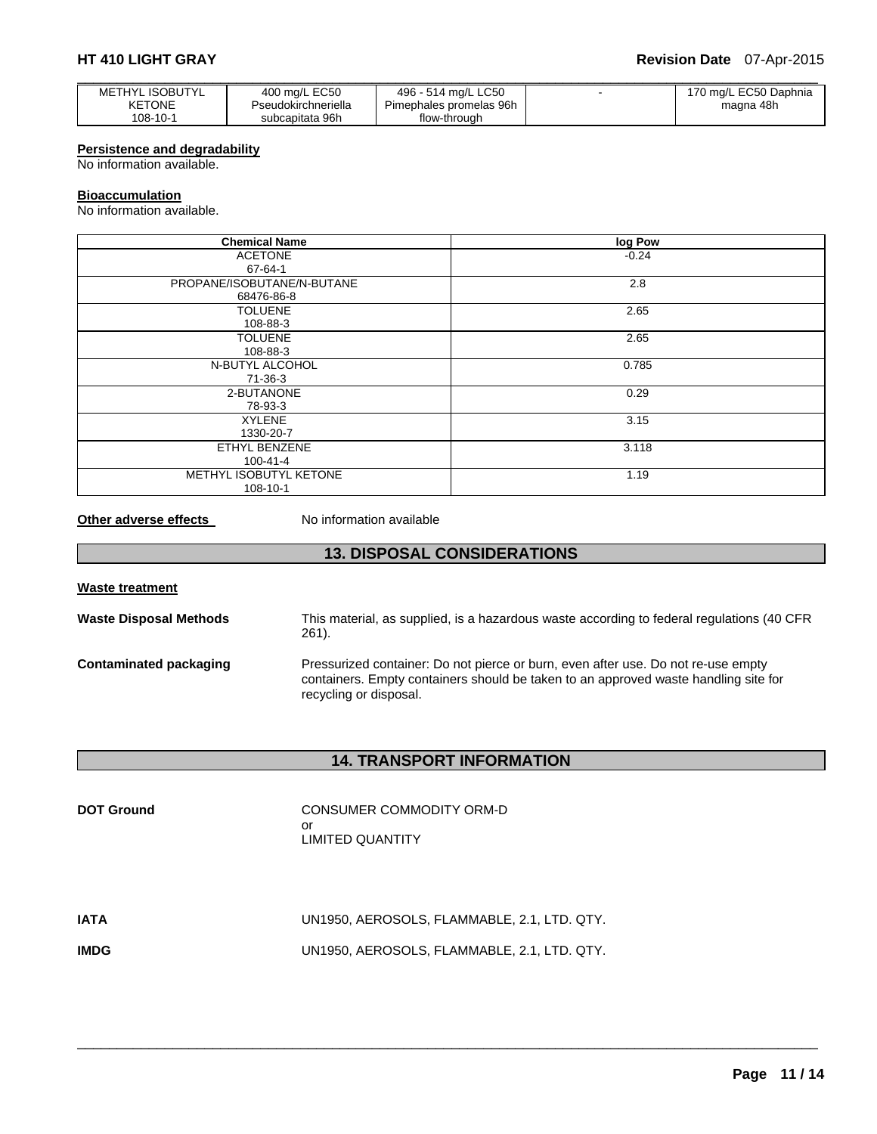## **HT 410 LIGHT GRAY Revision Date** 07-Apr-2015

| <b>METHYL ISOBUTYL</b> | 400 mg/L EC50       | 496 - 514 ma/L LC50     | $\sim$ | 170 mg/L EC50 Daphnia |
|------------------------|---------------------|-------------------------|--------|-----------------------|
| <b>KETONE</b>          | Pseudokirchneriella | Pimephales promelas 96h |        | magna 48h             |
| 108-10-1               | subcapitata 96h     | flow-through            |        |                       |

## **Persistence and degradability**

No information available.

## **Bioaccumulation**

No information available.

| <b>Chemical Name</b>       | log Pow |
|----------------------------|---------|
| <b>ACETONE</b>             | $-0.24$ |
| 67-64-1                    |         |
| PROPANE/ISOBUTANE/N-BUTANE | 2.8     |
| 68476-86-8                 |         |
| <b>TOLUENE</b>             | 2.65    |
| 108-88-3                   |         |
| <b>TOLUENE</b>             | 2.65    |
| 108-88-3                   |         |
| N-BUTYL ALCOHOL            | 0.785   |
| 71-36-3                    |         |
| 2-BUTANONE                 | 0.29    |
| 78-93-3                    |         |
| <b>XYLENE</b>              | 3.15    |
| 1330-20-7                  |         |
| ETHYL BENZENE              | 3.118   |
| $100 - 41 - 4$             |         |
| METHYL ISOBUTYL KETONE     | 1.19    |
| 108-10-1                   |         |

**Other adverse effects** No information available

## **13. DISPOSAL CONSIDERATIONS**

| <b>Waste treatment</b>        |                                                                                                                                                                                                    |
|-------------------------------|----------------------------------------------------------------------------------------------------------------------------------------------------------------------------------------------------|
| <b>Waste Disposal Methods</b> | This material, as supplied, is a hazardous waste according to federal regulations (40 CFR<br>261).                                                                                                 |
| Contaminated packaging        | Pressurized container: Do not pierce or burn, even after use. Do not re-use empty<br>containers. Empty containers should be taken to an approved waste handling site for<br>recycling or disposal. |

## **14. TRANSPORT INFORMATION**

| <b>DOT Ground</b> | CONSUMER COMMODITY ORM-D<br>or<br>LIMITED QUANTITY |
|-------------------|----------------------------------------------------|
| IATA              | UN1950, AEROSOLS, FLAMMABLE, 2.1, LTD. QTY.        |
| IMDG              | UN1950, AEROSOLS, FLAMMABLE, 2.1, LTD. QTY.        |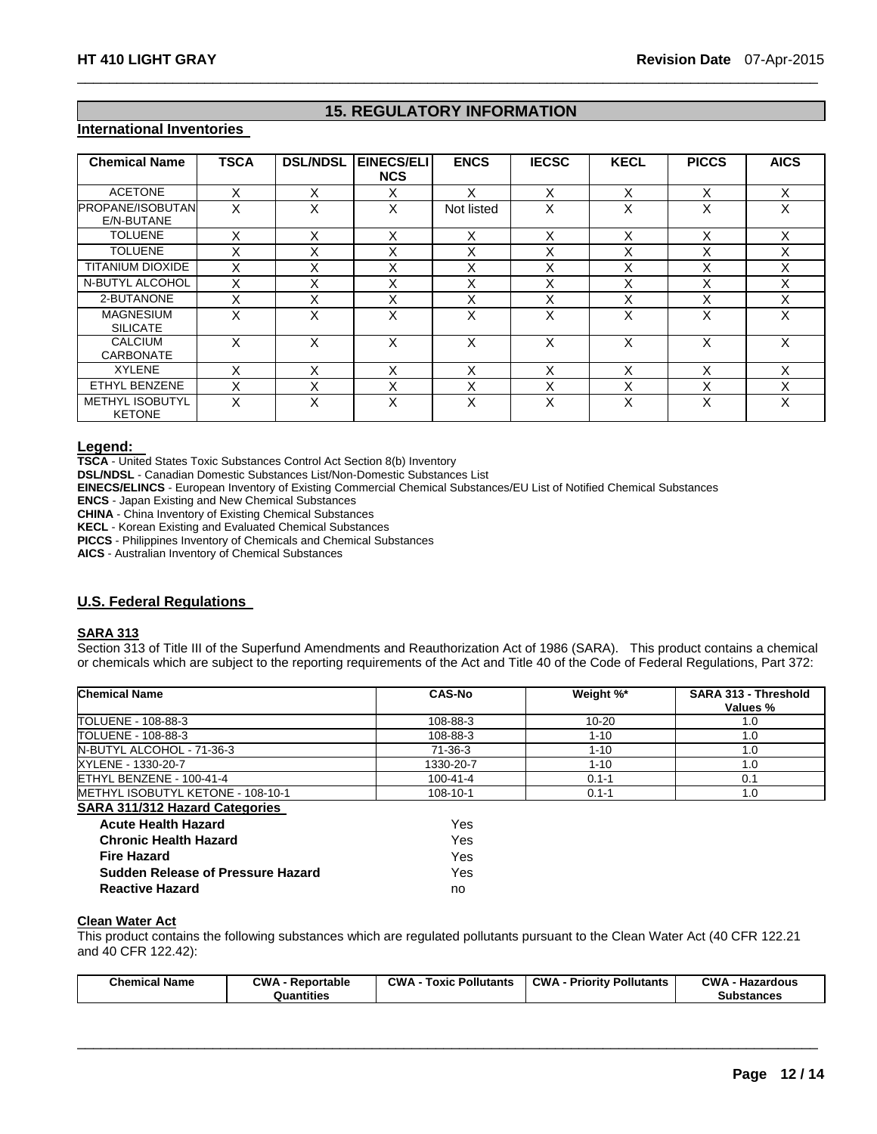## **15. REGULATORY INFORMATION**

 $\Box$ 

## **International Inventories**

| <b>Chemical Name</b>                    | <b>TSCA</b> | <b>DSL/NDSL</b> | <b>EINECS/ELI</b><br><b>NCS</b> | <b>ENCS</b> | <b>IECSC</b> | <b>KECL</b>       | <b>PICCS</b> | <b>AICS</b> |
|-----------------------------------------|-------------|-----------------|---------------------------------|-------------|--------------|-------------------|--------------|-------------|
| <b>ACETONE</b>                          | X           | X               | X                               | x           | X            | X                 | X            | X           |
| <b>PROPANE/ISOBUTAN</b><br>E/N-BUTANE   | X           | X               | X                               | Not listed  | X            | Χ                 | X            | X           |
| <b>TOLUENE</b>                          | X           | X               | X                               | X           | x            | X                 | X            | X           |
| <b>TOLUENE</b>                          | X           | X               | X                               | X           | X            | $\checkmark$<br>ᄉ | X            | X           |
| <b>TITANIUM DIOXIDE</b>                 | X           | X               | X                               | X           | Χ            | X                 | X            | X           |
| N-BUTYL ALCOHOL                         | X           | X               | X                               | X           | X            | X                 | X            | X           |
| 2-BUTANONE                              | X           | X               | X                               | X           | x            | X                 | X            | X           |
| <b>MAGNESIUM</b><br><b>SILICATE</b>     | X           | x               | X                               | X           | X            | X                 | X            | X           |
| CALCIUM<br><b>CARBONATE</b>             | X           | X               | X                               | X           | X            | x                 | x            | X           |
| <b>XYLENE</b>                           | X           | X               | X                               | X           | X            | X                 | X            | X           |
| ETHYL BENZENE                           | X           | X               | X                               | X           | X            | $\checkmark$<br>⋏ | X            | X           |
| <b>METHYL ISOBUTYL</b><br><b>KETONE</b> | X           | X               | X                               | X           | X            | X                 | X            | X           |

**Legend: TSCA** - United States Toxic Substances Control Act Section 8(b) Inventory

**DSL/NDSL** - Canadian Domestic Substances List/Non-Domestic Substances List

**EINECS/ELINCS** - European Inventory of Existing Commercial Chemical Substances/EU List of Notified Chemical Substances

**ENCS** - Japan Existing and New Chemical Substances

**CHINA** - China Inventory of Existing Chemical Substances

**KECL** - Korean Existing and Evaluated Chemical Substances

**PICCS** - Philippines Inventory of Chemicals and Chemical Substances

**AICS** - Australian Inventory of Chemical Substances

## **U.S. Federal Regulations**

## **SARA 313**

Section 313 of Title III of the Superfund Amendments and Reauthorization Act of 1986 (SARA). This product contains a chemical or chemicals which are subject to the reporting requirements of the Act and Title 40 of the Code of Federal Regulations, Part 372:

| <b>Chemical Name</b>                  | <b>CAS-No</b>  | Weight %* | SARA 313 - Threshold<br>Values % |
|---------------------------------------|----------------|-----------|----------------------------------|
| TOLUENE - 108-88-3                    | 108-88-3       | $10 - 20$ | 1.0                              |
| TOLUENE - 108-88-3                    | 108-88-3       | $1 - 10$  | 1.0                              |
| N-BUTYL ALCOHOL - 71-36-3             | 71-36-3        | $1 - 10$  | 1.0                              |
| XYLENE - 1330-20-7                    | 1330-20-7      | $1 - 10$  | 1.0                              |
| ETHYL BENZENE - 100-41-4              | $100 - 41 - 4$ | $0.1 - 1$ | 0.1                              |
| METHYL ISOBUTYL KETONE - 108-10-1     | 108-10-1       | $0.1 - 1$ | 1.0                              |
| <b>SARA 311/312 Hazard Categories</b> |                |           |                                  |
| <b>Acute Health Hazard</b>            | Yes            |           |                                  |

| $-0.5$ |
|--------|
| Yes.   |
| Yes.   |
| Yes.   |
| no     |
|        |

### **Clean Water Act**

This product contains the following substances which are regulated pollutants pursuant to the Clean Water Act (40 CFR 122.21 and 40 CFR 122.42):

| <b>Chemical Name</b> | <b>CWA - Reportable</b> | <b>CWA - Toxic Pollutants</b> | <b>CWA - Priority Pollutants</b> | <b>CWA - Hazardous</b> |
|----------------------|-------------------------|-------------------------------|----------------------------------|------------------------|
|                      | Quantities              |                               |                                  | <b>Substances</b>      |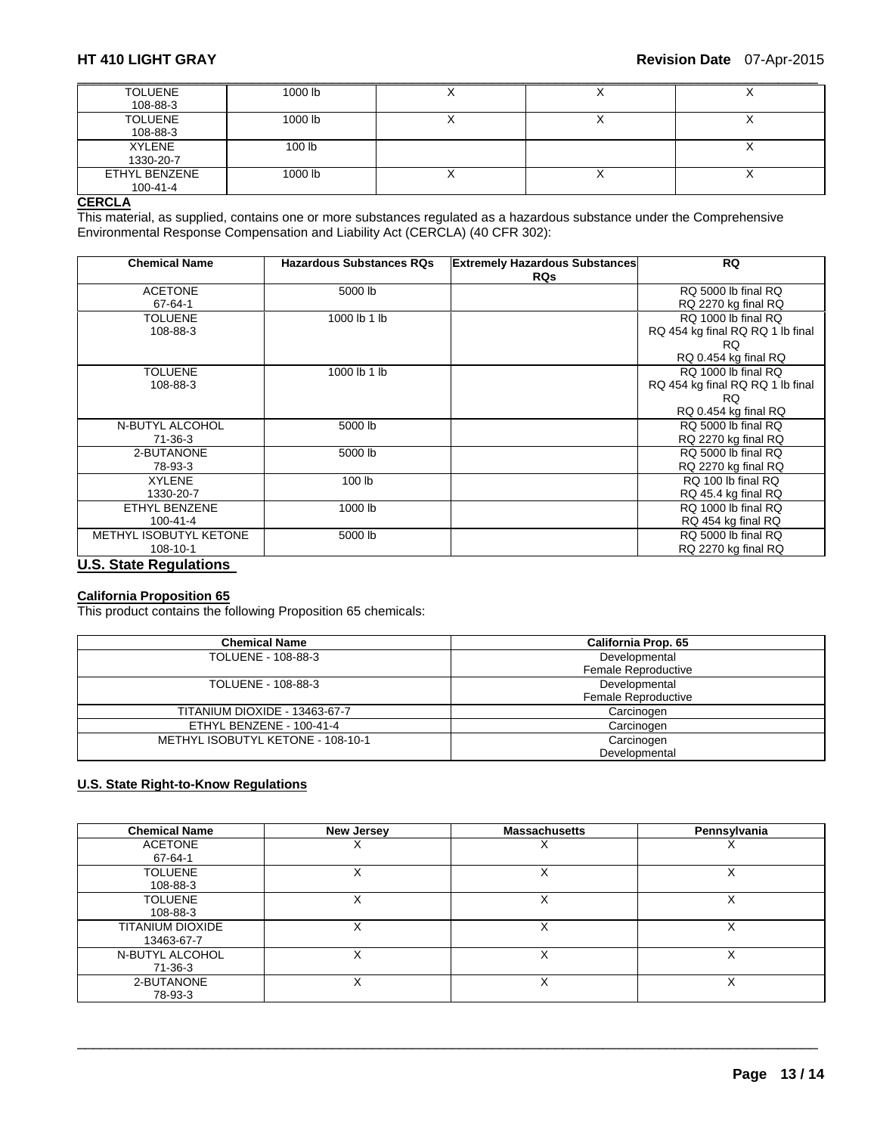| <b>TOLUENE</b> | 1000 lb           | $\lambda$ |           |
|----------------|-------------------|-----------|-----------|
| 108-88-3       |                   |           |           |
| <b>TOLUENE</b> | 1000 lb           | $\lambda$ |           |
| 108-88-3       |                   |           |           |
| XYLENE         | 100 <sub>lb</sub> |           | $\lambda$ |
| 1330-20-7      |                   |           |           |
| ETHYL BENZENE  | 1000 lb           | $\lambda$ |           |
| $100 - 41 - 4$ |                   |           |           |

### **CERCLA**

This material, as supplied, contains one or more substances regulated as a hazardous substance under the Comprehensive Environmental Response Compensation and Liability Act (CERCLA) (40 CFR 302):

| <b>Chemical Name</b>          | <b>Hazardous Substances RQs</b> | <b>Extremely Hazardous Substances</b><br><b>RQs</b> | <b>RQ</b>                        |
|-------------------------------|---------------------------------|-----------------------------------------------------|----------------------------------|
| <b>ACETONE</b>                | 5000 lb                         |                                                     | RQ 5000 lb final RQ              |
| $67 - 64 - 1$                 |                                 |                                                     | RQ 2270 kg final RQ              |
| <b>TOLUENE</b>                | 1000 lb 1 lb                    |                                                     | RQ 1000 lb final RQ              |
| 108-88-3                      |                                 |                                                     | RQ 454 kg final RQ RQ 1 lb final |
|                               |                                 |                                                     | RQ.                              |
|                               |                                 |                                                     | RQ 0.454 kg final RQ             |
| <b>TOLUENE</b>                | 1000 lb 1 lb                    |                                                     | RQ 1000 lb final RQ              |
| 108-88-3                      |                                 |                                                     | RQ 454 kg final RQ RQ 1 lb final |
|                               |                                 |                                                     | RQ.                              |
|                               |                                 |                                                     | RQ 0.454 kg final RQ             |
| N-BUTYL ALCOHOL               | 5000 lb                         |                                                     | RQ 5000 lb final RQ              |
| $71-36-3$                     |                                 |                                                     | RQ 2270 kg final RQ              |
| 2-BUTANONE                    | 5000 lb                         |                                                     | RQ 5000 lb final RQ              |
| 78-93-3                       |                                 |                                                     | RQ 2270 kg final RQ              |
| <b>XYLENE</b>                 | 100 lb                          |                                                     | RQ 100 lb final RQ               |
| 1330-20-7                     |                                 |                                                     | RQ 45.4 kg final RQ              |
| ETHYL BENZENE                 | 1000 lb                         |                                                     | RQ 1000 lb final RQ              |
| $100 - 41 - 4$                |                                 |                                                     | RQ 454 kg final RQ               |
| METHYL ISOBUTYL KETONE        | 5000 lb                         |                                                     | RQ 5000 lb final RQ              |
| 108-10-1                      |                                 |                                                     | RQ 2270 kg final RQ              |
| <b>U.S. State Regulations</b> |                                 |                                                     |                                  |

## **California Proposition 65**

This product contains the following Proposition 65 chemicals:

| <b>Chemical Name</b>              | California Prop. 65 |  |
|-----------------------------------|---------------------|--|
| TOLUENE - 108-88-3                | Developmental       |  |
|                                   | Female Reproductive |  |
| TOLUENE - 108-88-3                | Developmental       |  |
|                                   | Female Reproductive |  |
| TITANIUM DIOXIDE - 13463-67-7     | Carcinogen          |  |
| ETHYL BENZENE - 100-41-4          | Carcinogen          |  |
| METHYL ISOBUTYL KETONE - 108-10-1 | Carcinogen          |  |
|                                   | Developmental       |  |

## **U.S. State Right-to-Know Regulations**

| <b>Chemical Name</b>    | <b>New Jersey</b> | <b>Massachusetts</b> | Pennsylvania |
|-------------------------|-------------------|----------------------|--------------|
| <b>ACETONE</b>          |                   |                      |              |
| 67-64-1                 |                   |                      |              |
| <b>TOLUENE</b>          |                   | ∧                    | ∧            |
| 108-88-3                |                   |                      |              |
| <b>TOLUENE</b>          |                   |                      |              |
| 108-88-3                |                   |                      |              |
| <b>TITANIUM DIOXIDE</b> |                   |                      |              |
| 13463-67-7              |                   |                      |              |
| N-BUTYL ALCOHOL         |                   |                      |              |
| 71-36-3                 |                   |                      |              |
| 2-BUTANONE              | X                 |                      | Χ            |
| 78-93-3                 |                   |                      |              |